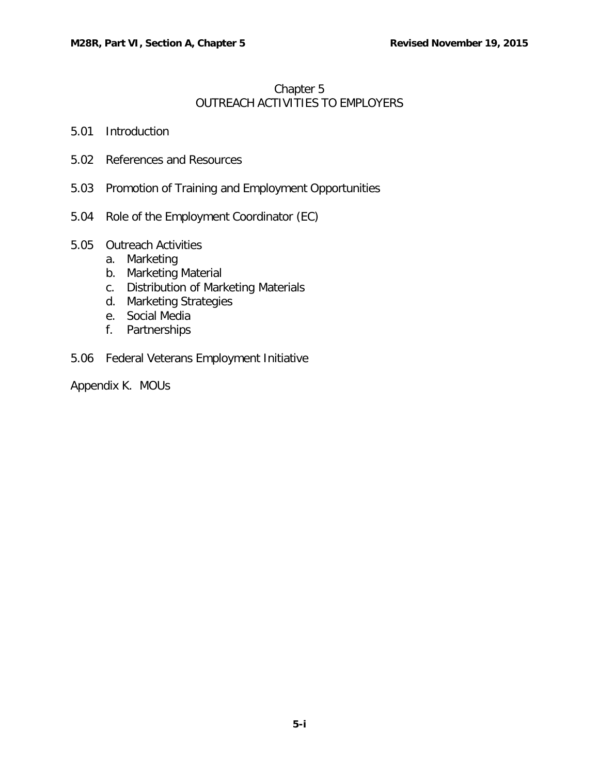# [Chapter](#page-0-0) 5 OUTREACH ACTIVITIES TO [EMPLOYERS](#page-0-0)

- <span id="page-0-0"></span>5.01 [Introduction](#page-1-0)
- 5.02 [References](#page-1-1) and Resources
- 5.03 Promotion of Training and Employment [Opportunities](#page-1-2)
- 5.04 Role of the [Employment](#page-2-0) Coordinator (EC)
- 5.05 [Outreach](#page-3-0) Activities
	- a. [Marketing](#page-3-1)
	- b. [Marketing](#page-3-2) Material
	- c. [Distribution of Marketing Materials](#page-3-3)
	- d. Marketing [Strategies](#page-4-0)
	- e. Social [Media](#page-5-0)
	- f. [Partnerships](#page-6-0)
- 5.06 Federal Veterans [Employment](#page-7-0) Initiative

Appendix K. MOUs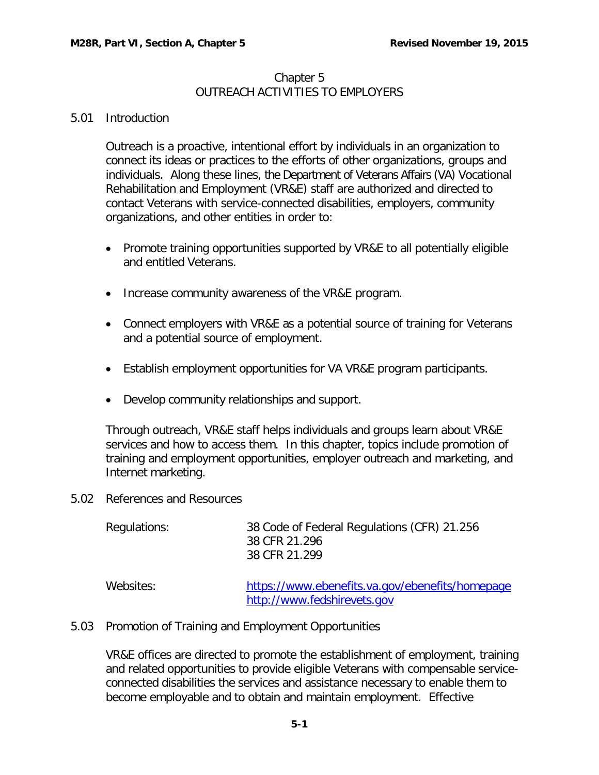### Chapter 5 OUTREACH ACTIVITIES TO EMPLOYERS

## <span id="page-1-0"></span>5.01 Introduction

Outreach is a proactive, intentional effort by individuals in an organization to connect its ideas or practices to the efforts of other organizations, groups and individuals. Along these lines, the Department of Veterans Affairs (VA) Vocational Rehabilitation and Employment (VR&E) staff are authorized and directed to contact Veterans with service-connected disabilities, employers, community organizations, and other entities in order to:

- Promote training opportunities supported by VR&E to all potentially eligible and entitled Veterans.
- Increase community awareness of the VR&E program.
- Connect employers with VR&E as a potential source of training for Veterans and a potential source of employment.
- Establish employment opportunities for VA VR&E program participants.
- Develop community relationships and support.

Through outreach, VR&E staff helps individuals and groups learn about VR&E services and how to access them. In this chapter, topics include promotion of training and employment opportunities, employer outreach and marketing, and Internet marketing.

<span id="page-1-1"></span>5.02 References and Resources

| Regulations: | 38 Code of Federal Regulations (CFR) 21.256<br>38 CFR 21.296<br>38 CFR 21.299 |
|--------------|-------------------------------------------------------------------------------|
| Websites:    | https://www.ebenefits.va.gov/ebenefits/homepage                               |

#### <span id="page-1-2"></span>5.03 Promotion of Training and Employment Opportunities

VR&E offices are directed to promote the establishment of employment, training and related opportunities to provide eligible Veterans with compensable serviceconnected disabilities the services and assistance necessary to enable them to become employable and to obtain and maintain employment. Effective

[http://www.fedshirevets.gov](http://www.fedshirevets.gov/)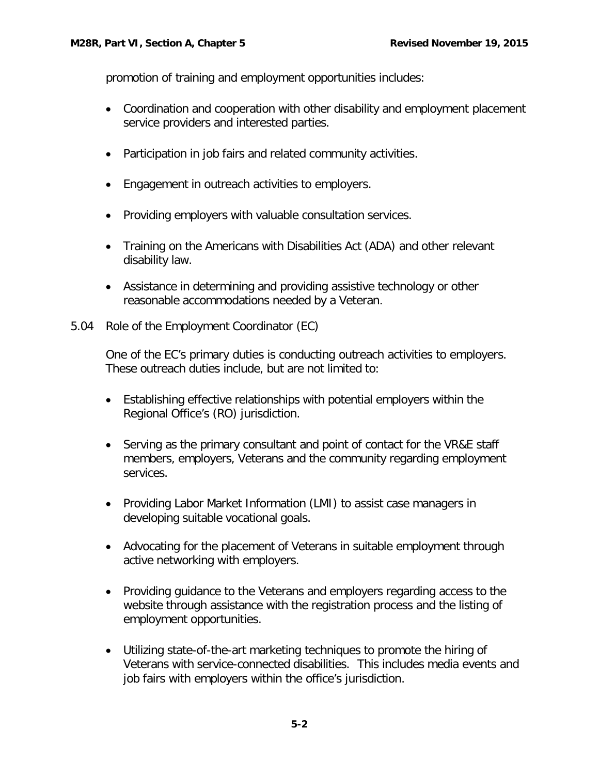promotion of training and employment opportunities includes:

- Coordination and cooperation with other disability and employment placement service providers and interested parties.
- Participation in job fairs and related community activities.
- Engagement in outreach activities to employers.
- Providing employers with valuable consultation services.
- Training on the Americans with Disabilities Act (ADA) and other relevant disability law.
- Assistance in determining and providing assistive technology or other reasonable accommodations needed by a Veteran.
- <span id="page-2-0"></span>5.04 Role of the Employment Coordinator (EC)

One of the EC's primary duties is conducting outreach activities to employers. These outreach duties include, but are not limited to:

- Establishing effective relationships with potential employers within the Regional Office's (RO) jurisdiction.
- Serving as the primary consultant and point of contact for the VR&E staff members, employers, Veterans and the community regarding employment services.
- Providing Labor Market Information (LMI) to assist case managers in developing suitable vocational goals.
- Advocating for the placement of Veterans in suitable employment through active networking with employers.
- Providing guidance to the Veterans and employers regarding access to the website through assistance with the registration process and the listing of employment opportunities.
- Utilizing state-of-the-art marketing techniques to promote the hiring of Veterans with service-connected disabilities. This includes media events and job fairs with employers within the office's jurisdiction.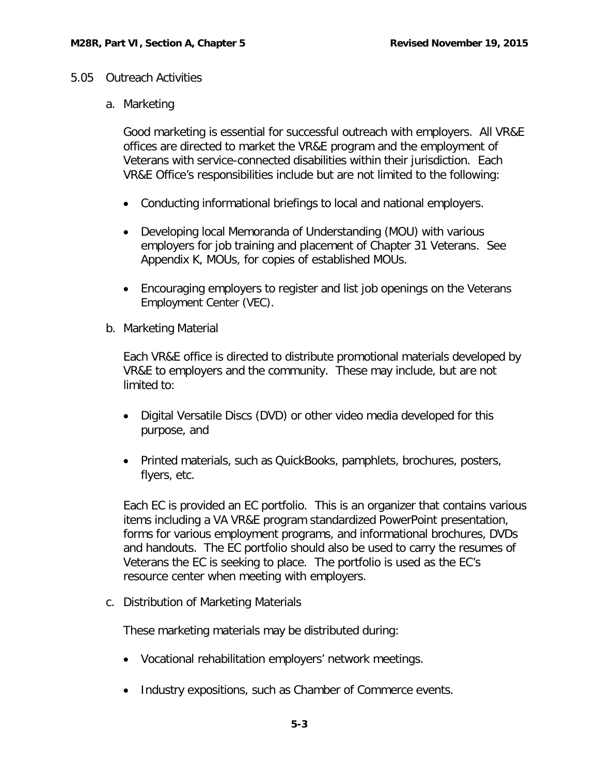## <span id="page-3-1"></span><span id="page-3-0"></span>5.05 Outreach Activities

a. Marketing

Good marketing is essential for successful outreach with employers. All VR&E offices are directed to market the VR&E program and the employment of Veterans with service-connected disabilities within their jurisdiction. Each VR&E Office's responsibilities include but are not limited to the following:

- Conducting informational briefings to local and national employers.
- Developing local Memoranda of Understanding (MOU) with various employers for job training and placement of Chapter 31 Veterans. See Appendix K, MOUs, for copies of established MOUs.
- Encouraging employers to register and list job openings on the Veterans Employment Center (VEC).
- <span id="page-3-2"></span>b. Marketing Material

Each VR&E office is directed to distribute promotional materials developed by VR&E to employers and the community. These may include, but are not limited to:

- Digital Versatile Discs (DVD) or other video media developed for this purpose, and
- Printed materials, such as QuickBooks, pamphlets, brochures, posters, flyers, etc.

Each EC is provided an EC portfolio. This is an organizer that contains various items including a VA VR&E program standardized PowerPoint presentation, forms for various employment programs, and informational brochures, DVDs and handouts. The EC portfolio should also be used to carry the resumes of Veterans the EC is seeking to place. The portfolio is used as the EC's resource center when meeting with employers.

<span id="page-3-3"></span>c. Distribution of Marketing Materials

These marketing materials may be distributed during:

- Vocational rehabilitation employers' network meetings.
- Industry expositions, such as Chamber of Commerce events.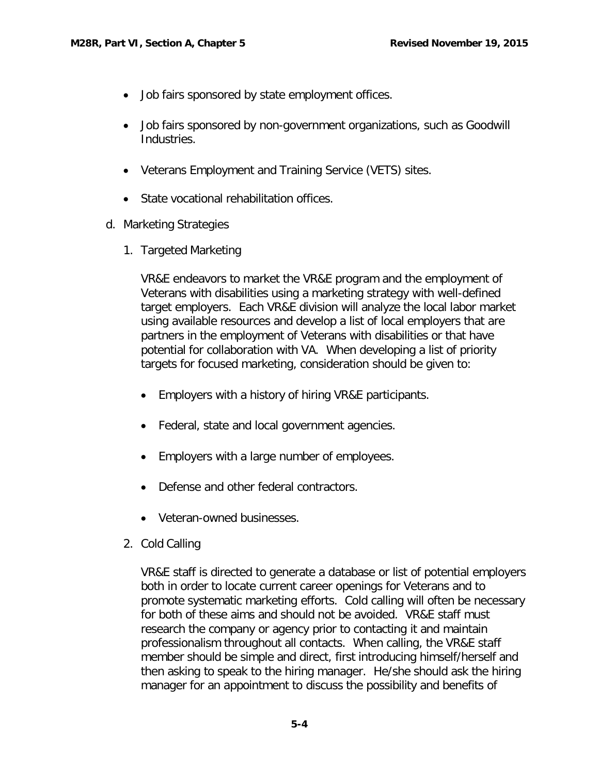- Job fairs sponsored by state employment offices.
- Job fairs sponsored by non-government organizations, such as Goodwill Industries.
- Veterans Employment and Training Service (VETS) sites.
- State vocational rehabilitation offices.
- <span id="page-4-0"></span>d. Marketing Strategies
	- 1. Targeted Marketing

VR&E endeavors to market the VR&E program and the employment of Veterans with disabilities using a marketing strategy with well-defined target employers. Each VR&E division will analyze the local labor market using available resources and develop a list of local employers that are partners in the employment of Veterans with disabilities or that have potential for collaboration with VA. When developing a list of priority targets for focused marketing, consideration should be given to:

- Employers with a history of hiring VR&E participants.
- Federal, state and local government agencies.
- Employers with a large number of employees.
- Defense and other federal contractors.
- Veteran-owned businesses.
- 2. Cold Calling

VR&E staff is directed to generate a database or list of potential employers both in order to locate current career openings for Veterans and to promote systematic marketing efforts. Cold calling will often be necessary for both of these aims and should not be avoided. VR&E staff must research the company or agency prior to contacting it and maintain professionalism throughout all contacts. When calling, the VR&E staff member should be simple and direct, first introducing himself/herself and then asking to speak to the hiring manager. He/she should ask the hiring manager for an appointment to discuss the possibility and benefits of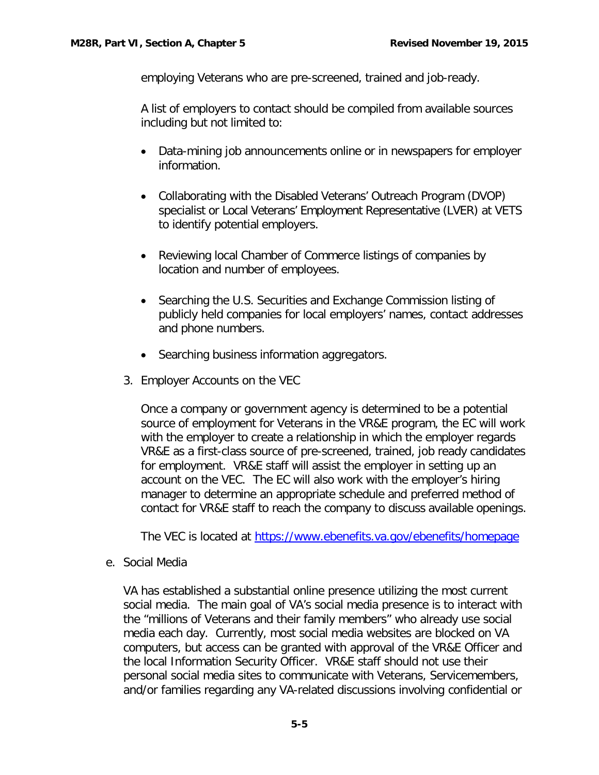employing Veterans who are pre-screened, trained and job-ready.

A list of employers to contact should be compiled from available sources including but not limited to:

- Data-mining job announcements online or in newspapers for employer information.
- Collaborating with the Disabled Veterans' Outreach Program (DVOP) specialist or Local Veterans' Employment Representative (LVER) at VETS to identify potential employers.
- Reviewing local Chamber of Commerce listings of companies by location and number of employees.
- Searching the U.S. Securities and Exchange Commission listing of publicly held companies for local employers' names, contact addresses and phone numbers.
- Searching business information aggregators.
- 3. Employer Accounts on the VEC

Once a company or government agency is determined to be a potential source of employment for Veterans in the VR&E program, the EC will work with the employer to create a relationship in which the employer regards VR&E as a first-class source of pre-screened, trained, job ready candidates for employment. VR&E staff will assist the employer in setting up an account on the VEC. The EC will also work with the employer's hiring manager to determine an appropriate schedule and preferred method of contact for VR&E staff to reach the company to discuss available openings.

The VEC is located at<https://www.ebenefits.va.gov/ebenefits/homepage>

<span id="page-5-0"></span>e. Social Media

VA has established a substantial online presence utilizing the most current social media. The main goal of VA's social media presence is to interact with the "millions of Veterans and their family members" who already use social media each day. Currently, most social media websites are blocked on VA computers, but access can be granted with approval of the VR&E Officer and the local Information Security Officer. VR&E staff should not use their personal social media sites to communicate with Veterans, Servicemembers, and/or families regarding any VA-related discussions involving confidential or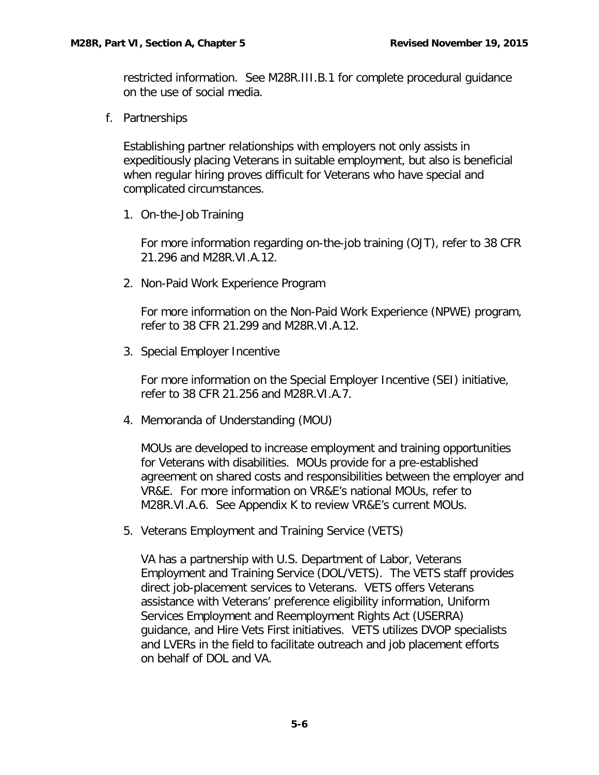restricted information. See M28R.III.B.1 for complete procedural guidance on the use of social media.

<span id="page-6-0"></span>f. Partnerships

Establishing partner relationships with employers not only assists in expeditiously placing Veterans in suitable employment, but also is beneficial when regular hiring proves difficult for Veterans who have special and complicated circumstances.

1. On-the-Job Training

For more information regarding on-the-job training (OJT), refer to 38 CFR 21.296 and M28R.VI.A.12.

2. Non-Paid Work Experience Program

For more information on the Non-Paid Work Experience (NPWE) program, refer to 38 CFR 21.299 and M28R.VI.A.12.

3. Special Employer Incentive

For more information on the Special Employer Incentive (SEI) initiative, refer to 38 CFR 21.256 and M28R.VI.A.7.

4. Memoranda of Understanding (MOU)

MOUs are developed to increase employment and training opportunities for Veterans with disabilities. MOUs provide for a pre-established agreement on shared costs and responsibilities between the employer and VR&E. For more information on VR&E's national MOUs, refer to M28R.VI.A.6. See Appendix K to review VR&E's current MOUs.

5. Veterans Employment and Training Service (VETS)

VA has a partnership with U.S. Department of Labor, Veterans Employment and Training Service (DOL/VETS). The VETS staff provides direct job-placement services to Veterans. VETS offers Veterans assistance with Veterans' preference eligibility information, Uniform Services Employment and Reemployment Rights Act (USERRA) guidance, and Hire Vets First initiatives. VETS utilizes DVOP specialists and LVERs in the field to facilitate outreach and job placement efforts on behalf of DOL and VA.